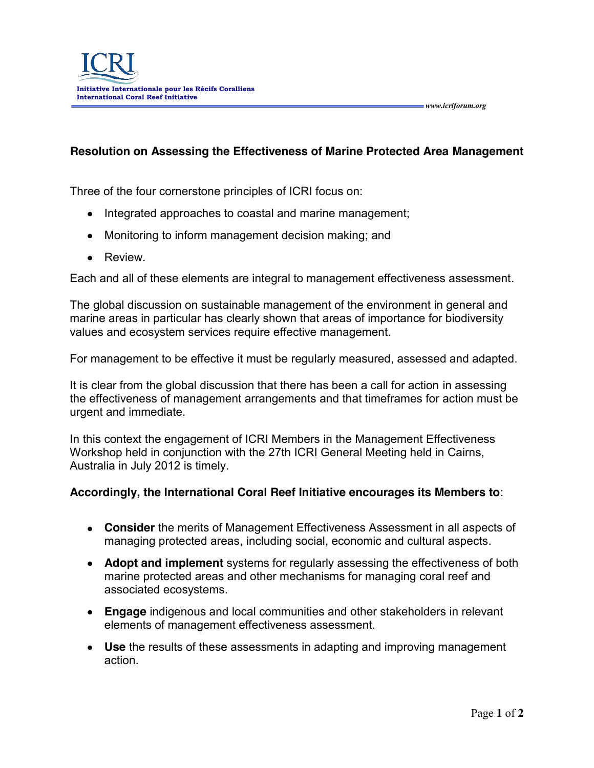## **Resolution on Assessing the Effectiveness of Marine Protected Area Management**

 *www.icriforum.org* 

Three of the four cornerstone principles of ICRI focus on:

- Integrated approaches to coastal and marine management;
- Monitoring to inform management decision making; and
- Review.

Each and all of these elements are integral to management effectiveness assessment.

The global discussion on sustainable management of the environment in general and marine areas in particular has clearly shown that areas of importance for biodiversity values and ecosystem services require effective management.

For management to be effective it must be regularly measured, assessed and adapted.

It is clear from the global discussion that there has been a call for action in assessing the effectiveness of management arrangements and that timeframes for action must be urgent and immediate.

In this context the engagement of ICRI Members in the Management Effectiveness Workshop held in conjunction with the 27th ICRI General Meeting held in Cairns, Australia in July 2012 is timely.

## **Accordingly, the International Coral Reef Initiative encourages its Members to**:

- **Consider** the merits of Management Effectiveness Assessment in all aspects of managing protected areas, including social, economic and cultural aspects.
- **Adopt and implement** systems for regularly assessing the effectiveness of both marine protected areas and other mechanisms for managing coral reef and associated ecosystems.
- **Engage** indigenous and local communities and other stakeholders in relevant elements of management effectiveness assessment.
- **Use** the results of these assessments in adapting and improving management action.